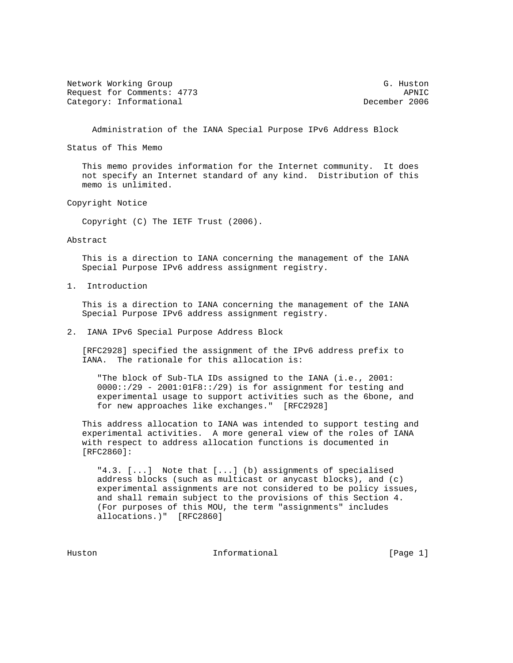Network Working Group G. Huston G. Huston Request for Comments: 4773 APNIC Category: Informational December 2006

Administration of the IANA Special Purpose IPv6 Address Block

Status of This Memo

 This memo provides information for the Internet community. It does not specify an Internet standard of any kind. Distribution of this memo is unlimited.

Copyright Notice

Copyright (C) The IETF Trust (2006).

## Abstract

 This is a direction to IANA concerning the management of the IANA Special Purpose IPv6 address assignment registry.

1. Introduction

 This is a direction to IANA concerning the management of the IANA Special Purpose IPv6 address assignment registry.

2. IANA IPv6 Special Purpose Address Block

 [RFC2928] specified the assignment of the IPv6 address prefix to IANA. The rationale for this allocation is:

 "The block of Sub-TLA IDs assigned to the IANA (i.e., 2001:  $0000::/29 - 2001:01F8::/29)$  is for assignment for testing and experimental usage to support activities such as the 6bone, and for new approaches like exchanges." [RFC2928]

 This address allocation to IANA was intended to support testing and experimental activities. A more general view of the roles of IANA with respect to address allocation functions is documented in [RFC2860]:

 "4.3. [...] Note that [...] (b) assignments of specialised address blocks (such as multicast or anycast blocks), and (c) experimental assignments are not considered to be policy issues, and shall remain subject to the provisions of this Section 4. (For purposes of this MOU, the term "assignments" includes allocations.)" [RFC2860]

Huston **Informational Informational** [Page 1]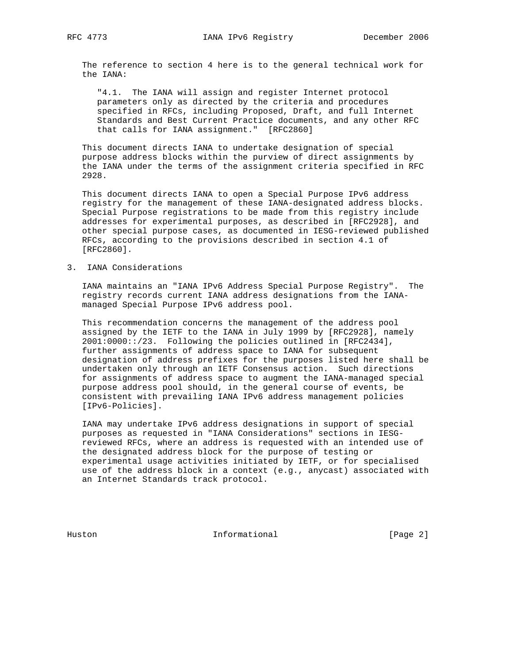The reference to section 4 here is to the general technical work for the IANA:

 "4.1. The IANA will assign and register Internet protocol parameters only as directed by the criteria and procedures specified in RFCs, including Proposed, Draft, and full Internet Standards and Best Current Practice documents, and any other RFC that calls for IANA assignment." [RFC2860]

 This document directs IANA to undertake designation of special purpose address blocks within the purview of direct assignments by the IANA under the terms of the assignment criteria specified in RFC 2928.

 This document directs IANA to open a Special Purpose IPv6 address registry for the management of these IANA-designated address blocks. Special Purpose registrations to be made from this registry include addresses for experimental purposes, as described in [RFC2928], and other special purpose cases, as documented in IESG-reviewed published RFCs, according to the provisions described in section 4.1 of [RFC2860].

3. IANA Considerations

 IANA maintains an "IANA IPv6 Address Special Purpose Registry". The registry records current IANA address designations from the IANA managed Special Purpose IPv6 address pool.

 This recommendation concerns the management of the address pool assigned by the IETF to the IANA in July 1999 by [RFC2928], namely 2001:0000::/23. Following the policies outlined in [RFC2434], further assignments of address space to IANA for subsequent designation of address prefixes for the purposes listed here shall be undertaken only through an IETF Consensus action. Such directions for assignments of address space to augment the IANA-managed special purpose address pool should, in the general course of events, be consistent with prevailing IANA IPv6 address management policies [IPv6-Policies].

 IANA may undertake IPv6 address designations in support of special purposes as requested in "IANA Considerations" sections in IESG reviewed RFCs, where an address is requested with an intended use of the designated address block for the purpose of testing or experimental usage activities initiated by IETF, or for specialised use of the address block in a context (e.g., anycast) associated with an Internet Standards track protocol.

Huston **Informational Informational** [Page 2]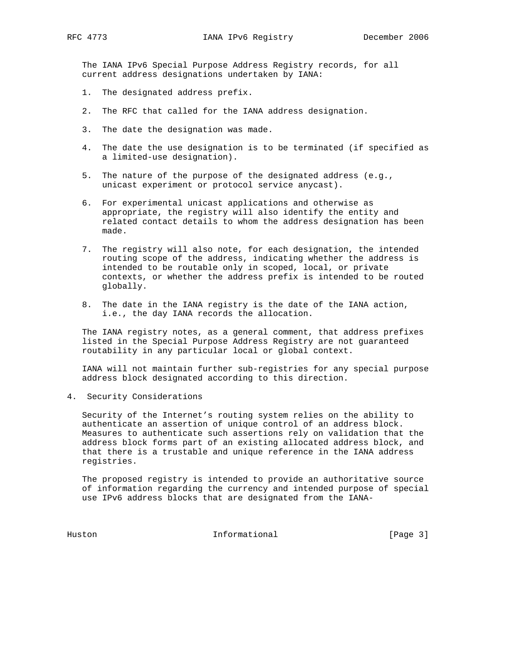The IANA IPv6 Special Purpose Address Registry records, for all current address designations undertaken by IANA:

- 1. The designated address prefix.
- 2. The RFC that called for the IANA address designation.
- 3. The date the designation was made.
- 4. The date the use designation is to be terminated (if specified as a limited-use designation).
- 5. The nature of the purpose of the designated address (e.g., unicast experiment or protocol service anycast).
- 6. For experimental unicast applications and otherwise as appropriate, the registry will also identify the entity and related contact details to whom the address designation has been made.
- 7. The registry will also note, for each designation, the intended routing scope of the address, indicating whether the address is intended to be routable only in scoped, local, or private contexts, or whether the address prefix is intended to be routed globally.
- 8. The date in the IANA registry is the date of the IANA action, i.e., the day IANA records the allocation.

 The IANA registry notes, as a general comment, that address prefixes listed in the Special Purpose Address Registry are not guaranteed routability in any particular local or global context.

 IANA will not maintain further sub-registries for any special purpose address block designated according to this direction.

4. Security Considerations

 Security of the Internet's routing system relies on the ability to authenticate an assertion of unique control of an address block. Measures to authenticate such assertions rely on validation that the address block forms part of an existing allocated address block, and that there is a trustable and unique reference in the IANA address registries.

 The proposed registry is intended to provide an authoritative source of information regarding the currency and intended purpose of special use IPv6 address blocks that are designated from the IANA-

Huston Informational [Page 3]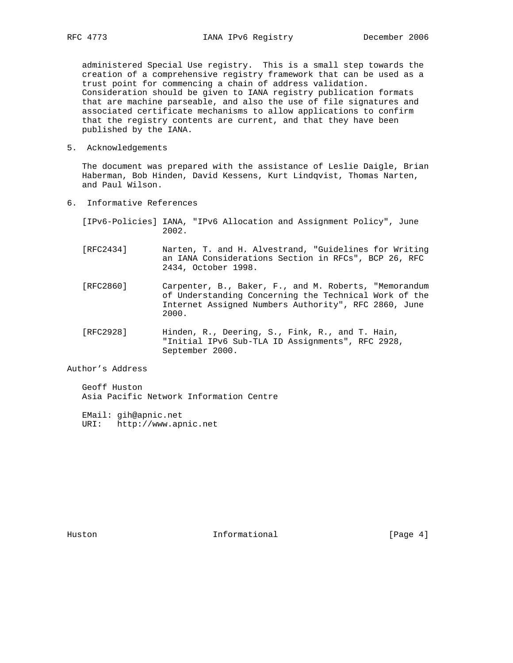administered Special Use registry. This is a small step towards the creation of a comprehensive registry framework that can be used as a trust point for commencing a chain of address validation. Consideration should be given to IANA registry publication formats that are machine parseable, and also the use of file signatures and associated certificate mechanisms to allow applications to confirm that the registry contents are current, and that they have been published by the IANA.

5. Acknowledgements

 The document was prepared with the assistance of Leslie Daigle, Brian Haberman, Bob Hinden, David Kessens, Kurt Lindqvist, Thomas Narten, and Paul Wilson.

6. Informative References

 [IPv6-Policies] IANA, "IPv6 Allocation and Assignment Policy", June 2002.

- [RFC2434] Narten, T. and H. Alvestrand, "Guidelines for Writing an IANA Considerations Section in RFCs", BCP 26, RFC 2434, October 1998.
- [RFC2860] Carpenter, B., Baker, F., and M. Roberts, "Memorandum of Understanding Concerning the Technical Work of the Internet Assigned Numbers Authority", RFC 2860, June 2000.
- [RFC2928] Hinden, R., Deering, S., Fink, R., and T. Hain, "Initial IPv6 Sub-TLA ID Assignments", RFC 2928, September 2000.

Author's Address

 Geoff Huston Asia Pacific Network Information Centre

 EMail: gih@apnic.net URI: http://www.apnic.net

Huston **Informational Informational** [Page 4]